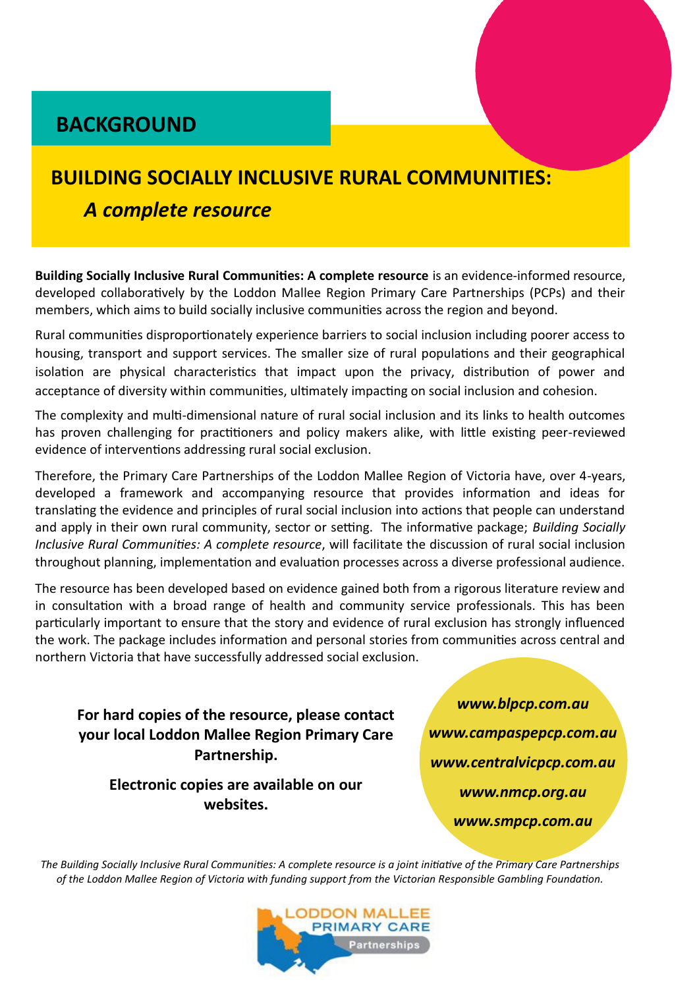### **BACKGROUND**

# **BUILDING SOCIALLY INCLUSIVE RURAL COMMUNITIES:**

#### A complete resource

Building Socially Inclusive Rural Communities: A complete resource is an evidence-informed resource, developed collaboratively by the Loddon Mallee Region Primary Care Partnerships (PCPs) and their members, which aims to build socially inclusive communities across the region and beyond.

Rural communities disproportionately experience barriers to social inclusion including poorer access to housing, transport and support services. The smaller size of rural populations and their geographical isolation are physical characteristics that impact upon the privacy, distribution of power and acceptance of diversity within communities, ultimately impacting on social inclusion and cohesion.

The complexity and multi-dimensional nature of rural social inclusion and its links to health outcomes has proven challenging for practitioners and policy makers alike, with little existing peer-reviewed evidence of interventions addressing rural social exclusion.

Therefore, the Primary Care Partnerships of the Loddon Mallee Region of Victoria have, over 4-years, developed a framework and accompanying resource that provides information and ideas for translating the evidence and principles of rural social inclusion into actions that people can understand and apply in their own rural community, sector or setting. The informative package; Building Socially Inclusive Rural Communities: A complete resource, will facilitate the discussion of rural social inclusion throughout planning, implementation and evaluation processes across a diverse professional audience.

The resource has been developed based on evidence gained both from a rigorous literature review and in consultation with a broad range of health and community service professionals. This has been particularly important to ensure that the story and evidence of rural exclusion has strongly influenced the work. The package includes information and personal stories from communities across central and northern Victoria that have successfully addressed social exclusion.

For hard copies of the resource, please contact your local Loddon Mallee Region Primary Care Partnership.

Electronic copies are available on our websites.

www.blpcp.com.au www.campaspepcp.com.au www.centralvicpcp.com.au www.nmcp.org.au www.smpcp.com.au

The Building Socially Inclusive Rural Communities: A complete resource is a joint initiative of the Primary Care Partnerships of the Loddon Mallee Region of Victoria with funding support from the Victorian Responsible Gambling Foundation.